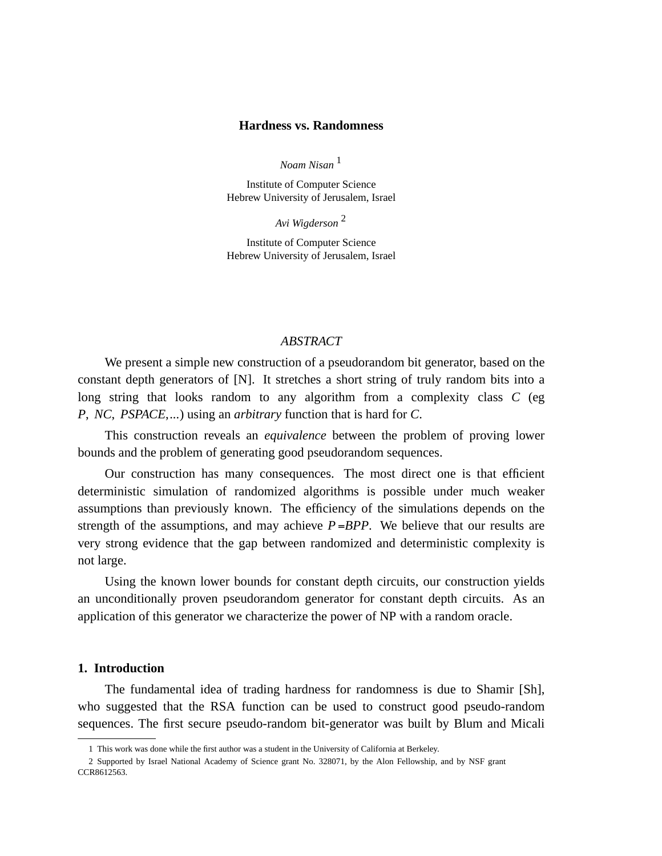## **Hardness vs. Randomness**

*Noam Nisan* <sup>1</sup>

Institute of Computer Science Hebrew University of Jerusalem, Israel

*Avi Wigderson* <sup>2</sup>

Institute of Computer Science Hebrew University of Jerusalem, Israel

## *ABSTRACT*

We present a simple new construction of a pseudorandom bit generator, based on the constant depth generators of [N]. It stretches a short string of truly random bits into a long string that looks random to any algorithm from a complexity class *C* (eg *P*, *NC*, *PSPACE*,*...*) using an *arbitrary* function that is hard for *C*.

This construction reveals an *equivalence* between the problem of proving lower bounds and the problem of generating good pseudorandom sequences.

Our construction has many consequences. The most direct one is that efficient deterministic simulation of randomized algorithms is possible under much weaker assumptions than previously known. The efficiency of the simulations depends on the strength of the assumptions, and may achieve  $P = BPP$ . We believe that our results are very strong evidence that the gap between randomized and deterministic complexity is not large.

Using the known lower bounds for constant depth circuits, our construction yields an unconditionally proven pseudorandom generator for constant depth circuits. As an application of this generator we characterize the power of NP with a random oracle.

#### **1. Introduction**

The fundamental idea of trading hardness for randomness is due to Shamir [Sh], who suggested that the RSA function can be used to construct good pseudo-random sequences. The first secure pseudo-random bit-generator was built by Blum and Micali

<sup>1</sup> This work was done while the first author was a student in the University of California at Berkeley.

<sup>2</sup> Supported by Israel National Academy of Science grant No. 328071, by the Alon Fellowship, and by NSF grant CCR8612563.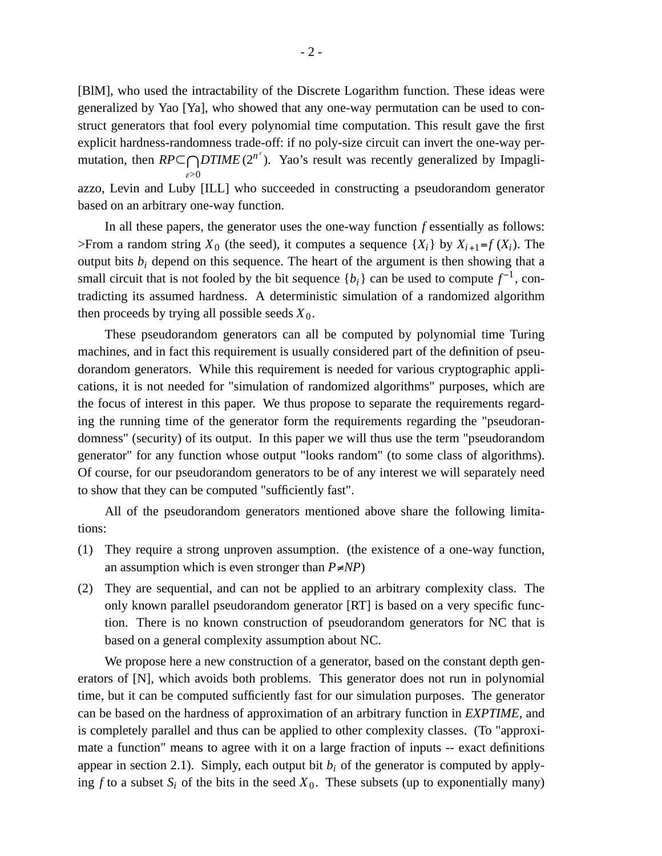[BlM], who used the intractability of the Discrete Logarithm function. These ideas were generalized by Yao [Ya], who showed that any one-way permutation can be used to construct generators that fool every polynomial time computation. This result gave the first explicit hardness-randomness trade-off: if no poly-size circuit can invert the one-way permutation, then  $RP \subseteq \bigcap_{\alpha}DTIME(2^{n^{\epsilon}})$ . Yao's result was recently generalized by Impagli<sup>ε</sup>*>*0 azzo, Levin and Luby [ILL] who succeeded in constructing a pseudorandom generator based on an arbitrary one-way function.

In all these papers, the generator uses the one-way function *f* essentially as follows: >From a random string  $X_0$  (the seed), it computes a sequence  $\{X_i\}$  by  $X_{i+1} = f(X_i)$ . The output bits  $b_i$  depend on this sequence. The heart of the argument is then showing that a small circuit that is not fooled by the bit sequence  ${b_i}$  can be used to compute  $f^{-1}$ , contradicting its assumed hardness. A deterministic simulation of a randomized algorithm then proceeds by trying all possible seeds  $X_0$ .

These pseudorandom generators can all be computed by polynomial time Turing machines, and in fact this requirement is usually considered part of the definition of pseudorandom generators. While this requirement is needed for various cryptographic applications, it is not needed for "simulation of randomized algorithms" purposes, which are the focus of interest in this paper. We thus propose to separate the requirements regarding the running time of the generator form the requirements regarding the "pseudorandomness" (security) of its output. In this paper we will thus use the term "pseudorandom generator" for any function whose output "looks random" (to some class of algorithms). Of course, for our pseudorandom generators to be of any interest we will separately need to show that they can be computed "sufficiently fast".

All of the pseudorandom generators mentioned above share the following limitations:

- (1) They require a strong unproven assumption. (the existence of a one-way function, an assumption which is even stronger than *P*≠*NP*)
- (2) They are sequential, and can not be applied to an arbitrary complexity class. The only known parallel pseudorandom generator [RT] is based on a very specific function. There is no known construction of pseudorandom generators for NC that is based on a general complexity assumption about NC.

We propose here a new construction of a generator, based on the constant depth generators of [N], which avoids both problems. This generator does not run in polynomial time, but it can be computed sufficiently fast for our simulation purposes. The generator can be based on the hardness of approximation of an arbitrary function in *EXPTIME*, and is completely parallel and thus can be applied to other complexity classes. (To "approximate a function" means to agree with it on a large fraction of inputs -- exact definitions appear in section 2.1). Simply, each output bit  $b_i$  of the generator is computed by applying  $f$  to a subset  $S_i$  of the bits in the seed  $X_0$ . These subsets (up to exponentially many)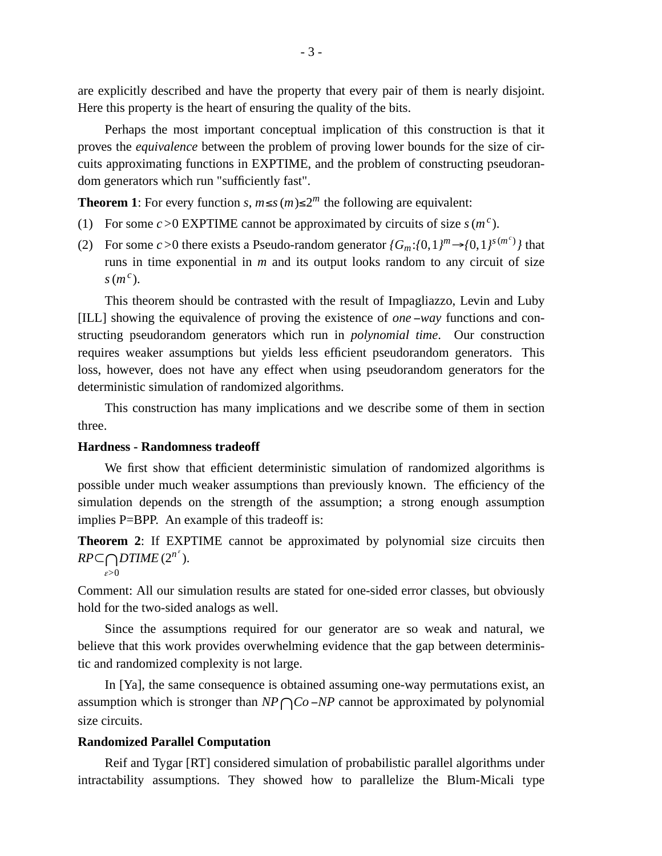are explicitly described and have the property that every pair of them is nearly disjoint. Here this property is the heart of ensuring the quality of the bits.

Perhaps the most important conceptual implication of this construction is that it proves the *equivalence* between the problem of proving lower bounds for the size of circuits approximating functions in EXPTIME, and the problem of constructing pseudorandom generators which run "sufficiently fast".

**Theorem 1**: For every function *s*,  $m \le s$  ( $m$ )≤2<sup>*m*</sup> the following are equivalent:

- (1) For some  $c > 0$  EXPTIME cannot be approximated by circuits of size  $s(m^c)$ .
- (2) For some  $c > 0$  there exists a Pseudo-random generator  $\{G_m: \{0, 1\}^m \rightarrow \{0, 1\}^{s(m^c)}\}$  that runs in time exponential in *m* and its output looks random to any circuit of size *s*(*m c* ).

This theorem should be contrasted with the result of Impagliazzo, Levin and Luby [ILL] showing the equivalence of proving the existence of *one* −*way* functions and constructing pseudorandom generators which run in *polynomial time*. Our construction requires weaker assumptions but yields less efficient pseudorandom generators. This loss, however, does not have any effect when using pseudorandom generators for the deterministic simulation of randomized algorithms.

This construction has many implications and we describe some of them in section three.

## **Hardness - Randomness tradeoff**

We first show that efficient deterministic simulation of randomized algorithms is possible under much weaker assumptions than previously known. The efficiency of the simulation depends on the strength of the assumption; a strong enough assumption implies P=BPP. An example of this tradeoff is:

**Theorem 2:** If EXPTIME cannot be approximated by polynomial size circuits then  $R P \subseteq \bigcap_{\alpha} DTIME(2^{n^{\epsilon}}).$ <sup>ε</sup>*>*0

Comment: All our simulation results are stated for one-sided error classes, but obviously hold for the two-sided analogs as well.

Since the assumptions required for our generator are so weak and natural, we believe that this work provides overwhelming evidence that the gap between deterministic and randomized complexity is not large.

In [Ya], the same consequence is obtained assuming one-way permutations exist, an assumption which is stronger than *NP*∩*Co* <sup>−</sup>*NP* cannot be approximated by polynomial size circuits.

#### **Randomized Parallel Computation**

Reif and Tygar [RT] considered simulation of probabilistic parallel algorithms under intractability assumptions. They showed how to parallelize the Blum-Micali type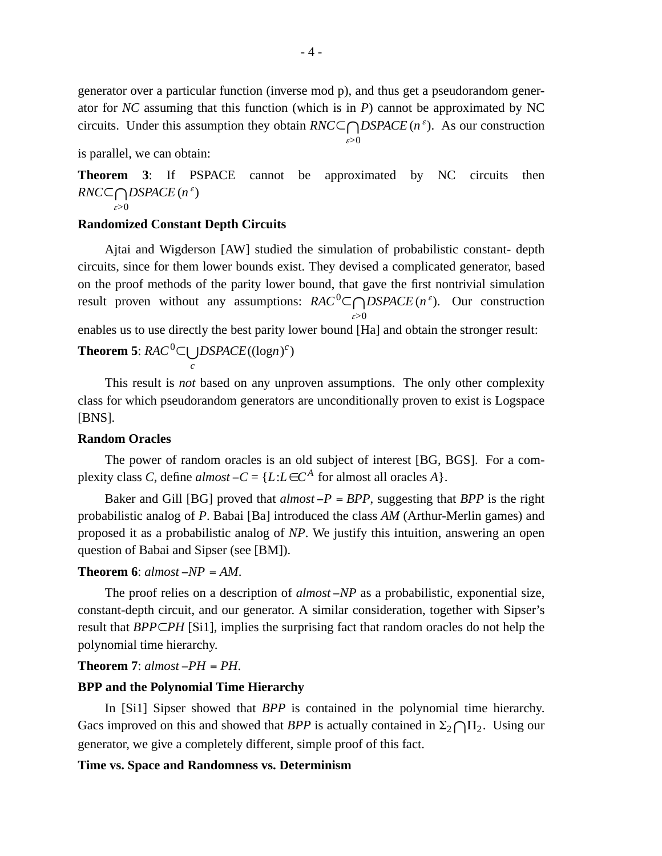generator over a particular function (inverse mod p), and thus get a pseudorandom generator for *NC* assuming that this function (which is in *P*) cannot be approximated by NC circuits. Under this assumption they obtain  $RNC\square \bigcap_{\alpha} DSPACE$  (*n*<sup> $\varepsilon$ </sup>). As our construction <sup>ε</sup>*>*0

is parallel, we can obtain:

**Theorem 3:** If PSPACE cannot be approximated by NC circuits then  $\mathit{RNC}$   $\cap$  *DSPACE* (*n*<sup> $\varepsilon$ </sup>) <sup>ε</sup>*>*0

# **Randomized Constant Depth Circuits**

Ajtai and Wigderson [AW] studied the simulation of probabilistic constant- depth circuits, since for them lower bounds exist. They devised a complicated generator, based on the proof methods of the parity lower bound, that gave the first nontrivial simulation result proven without any assumptions:  $RAC^0 \subset \bigcap_{\alpha} DSPACE(n^{\epsilon})$ . Our construction <sup>ε</sup>*>*0

enables us to use directly the best parity lower bound [Ha] and obtain the stronger result:

**Theorem 5**:  $RAC^0$ ⊂∪ $DSPACE((\text{log}n)^c)$ *c*

This result is *not* based on any unproven assumptions. The only other complexity class for which pseudorandom generators are unconditionally proven to exist is Logspace [BNS].

## **Random Oracles**

The power of random oracles is an old subject of interest [BG, BGS]. For a complexity class *C*, define  $almost - C = \{L : L \in C^A \text{ for almost all oracles } A\}.$ 

Baker and Gill [BG] proved that  $almost - P = BPP$ , suggesting that *BPP* is the right probabilistic analog of *P*. Babai [Ba] introduced the class *AM* (Arthur-Merlin games) and proposed it as a probabilistic analog of *NP*. We justify this intuition, answering an open question of Babai and Sipser (see [BM]).

# **Theorem 6**: *almost* −*NP* = *AM*.

The proof relies on a description of *almost* −*NP* as a probabilistic, exponential size, constant-depth circuit, and our generator. A similar consideration, together with Sipser's result that *BPP*⊂*PH* [Si1], implies the surprising fact that random oracles do not help the polynomial time hierarchy.

## **Theorem 7**: *almost* −*PH* = *PH*.

## **BPP and the Polynomial Time Hierarchy**

In [Si1] Sipser showed that *BPP* is contained in the polynomial time hierarchy. Gacs improved on this and showed that *BPP* is actually contained in  $\Sigma_2 \cap \Pi_2$ . Using our generator, we give a completely different, simple proof of this fact.

#### **Time vs. Space and Randomness vs. Determinism**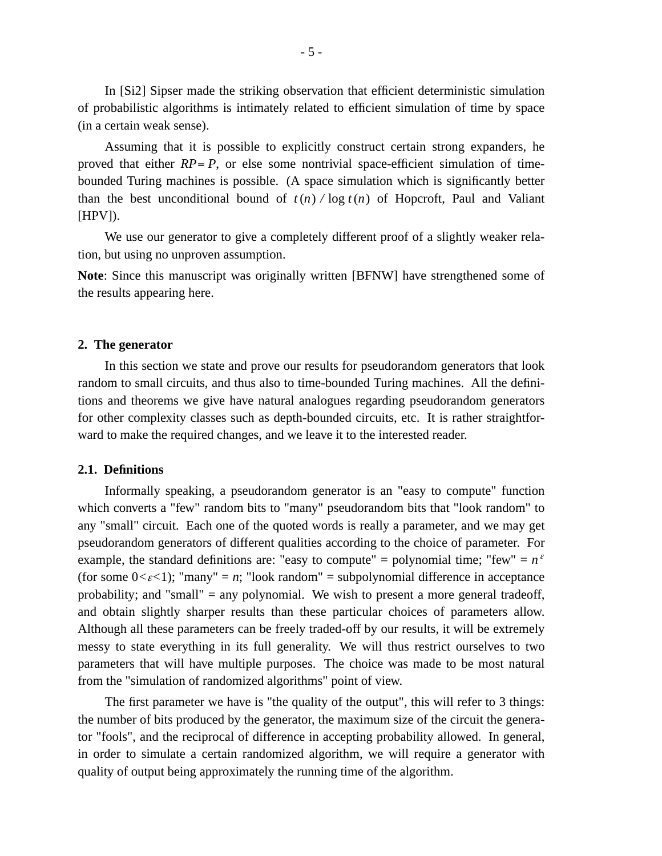In [Si2] Sipser made the striking observation that efficient deterministic simulation of probabilistic algorithms is intimately related to efficient simulation of time by space (in a certain weak sense).

Assuming that it is possible to explicitly construct certain strong expanders, he proved that either  $RP = P$ , or else some nontrivial space-efficient simulation of timebounded Turing machines is possible. (A space simulation which is significantly better than the best unconditional bound of  $t(n)$  */* log  $t(n)$  of Hopcroft, Paul and Valiant [HPV]).

We use our generator to give a completely different proof of a slightly weaker relation, but using no unproven assumption.

**Note**: Since this manuscript was originally written [BFNW] have strengthened some of the results appearing here.

#### **2. The generator**

In this section we state and prove our results for pseudorandom generators that look random to small circuits, and thus also to time-bounded Turing machines. All the definitions and theorems we give have natural analogues regarding pseudorandom generators for other complexity classes such as depth-bounded circuits, etc. It is rather straightforward to make the required changes, and we leave it to the interested reader.

### **2.1. Definitions**

Informally speaking, a pseudorandom generator is an "easy to compute" function which converts a "few" random bits to "many" pseudorandom bits that "look random" to any "small" circuit. Each one of the quoted words is really a parameter, and we may get pseudorandom generators of different qualities according to the choice of parameter. For example, the standard definitions are: "easy to compute" = polynomial time; "few" =  $n^{\epsilon}$ (for some  $0 < \varepsilon < 1$ ); "many" = *n*; "look random" = subpolynomial difference in acceptance probability; and "small" = any polynomial. We wish to present a more general tradeoff, and obtain slightly sharper results than these particular choices of parameters allow. Although all these parameters can be freely traded-off by our results, it will be extremely messy to state everything in its full generality. We will thus restrict ourselves to two parameters that will have multiple purposes. The choice was made to be most natural from the "simulation of randomized algorithms" point of view.

The first parameter we have is "the quality of the output", this will refer to 3 things: the number of bits produced by the generator, the maximum size of the circuit the generator "fools", and the reciprocal of difference in accepting probability allowed. In general, in order to simulate a certain randomized algorithm, we will require a generator with quality of output being approximately the running time of the algorithm.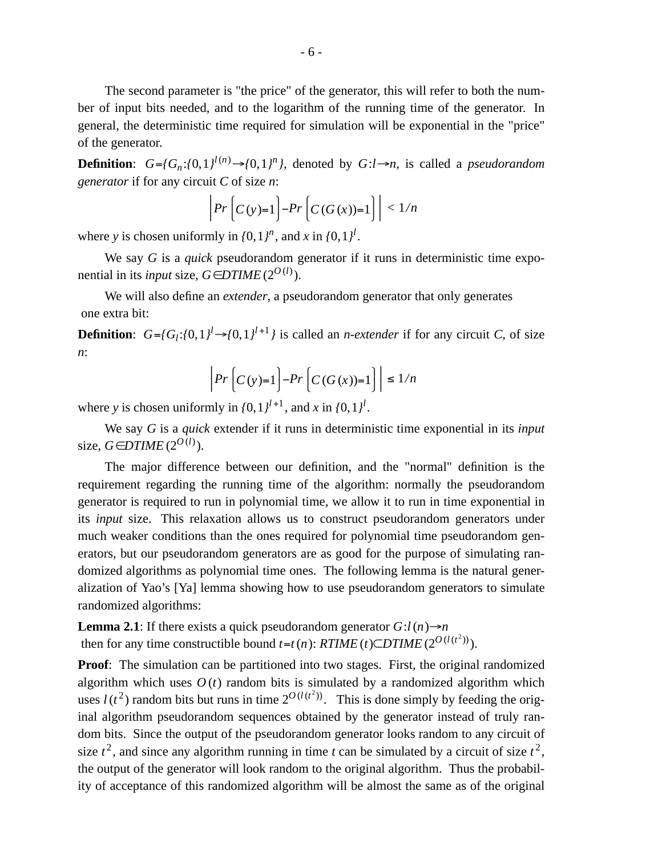The second parameter is "the price" of the generator, this will refer to both the number of input bits needed, and to the logarithm of the running time of the generator. In general, the deterministic time required for simulation will be exponential in the "price" of the generator.

**Definition**:  $G = {G_n : (0, 1)^{l(n)} \rightarrow (0, 1)^n}$ , denoted by  $G: l \rightarrow n$ , is called a *pseudorandom generator* if for any circuit *C* of size *n*:

$$
\left| \Pr \left[ C(y)=1 \right] - \Pr \left[ C(G(x))=1 \right] \right| < \frac{1}{n}
$$

where *y* is chosen uniformly in  $\{0, 1\}^n$ , and *x* in  $\{0, 1\}^l$ .

We say *G* is a *quick* pseudorandom generator if it runs in deterministic time exponential in its *input* size,  $G \in DTIME(2^{O(l)})$ .

We will also define an *extender*, a pseudorandom generator that only generates one extra bit:

**Definition**:  $G = \{G_l : \{0, 1\}^l \rightarrow \{0, 1\}^{l+1}\}$  is called an *n*-*extender* if for any circuit *C*, of size *n*:

$$
\left|Pr\left(C(y)=1\right)-Pr\left(C(G(x))=1\right)\right| \le 1/n
$$

where *y* is chosen uniformly in  $\{0, 1\}^{l+1}$ , and *x* in  $\{0, 1\}^{l}$ .

We say *G* is a *quick* extender if it runs in deterministic time exponential in its *input* size, *G* ∈*DTIME* ( $2^{O(l)}$ ).

The major difference between our definition, and the "normal" definition is the requirement regarding the running time of the algorithm: normally the pseudorandom generator is required to run in polynomial time, we allow it to run in time exponential in its *input* size. This relaxation allows us to construct pseudorandom generators under much weaker conditions than the ones required for polynomial time pseudorandom generators, but our pseudorandom generators are as good for the purpose of simulating randomized algorithms as polynomial time ones. The following lemma is the natural generalization of Yao's [Ya] lemma showing how to use pseudorandom generators to simulate randomized algorithms:

**Lemma 2.1**: If there exists a quick pseudorandom generator  $G: l(n) \rightarrow n$ then for any time constructible bound  $t = t(n)$ :  $RTIME(t) \subseteq DTIME(2^{O(l(t^2))})$ .

**Proof:** The simulation can be partitioned into two stages. First, the original randomized algorithm which uses  $O(t)$  random bits is simulated by a randomized algorithm which uses  $l(t^2)$  random bits but runs in time  $2^{O(l(t^2))}$ . This is done simply by feeding the original algorithm pseudorandom sequences obtained by the generator instead of truly random bits. Since the output of the pseudorandom generator looks random to any circuit of size  $t^2$ , and since any algorithm running in time *t* can be simulated by a circuit of size  $t^2$ , the output of the generator will look random to the original algorithm. Thus the probability of acceptance of this randomized algorithm will be almost the same as of the original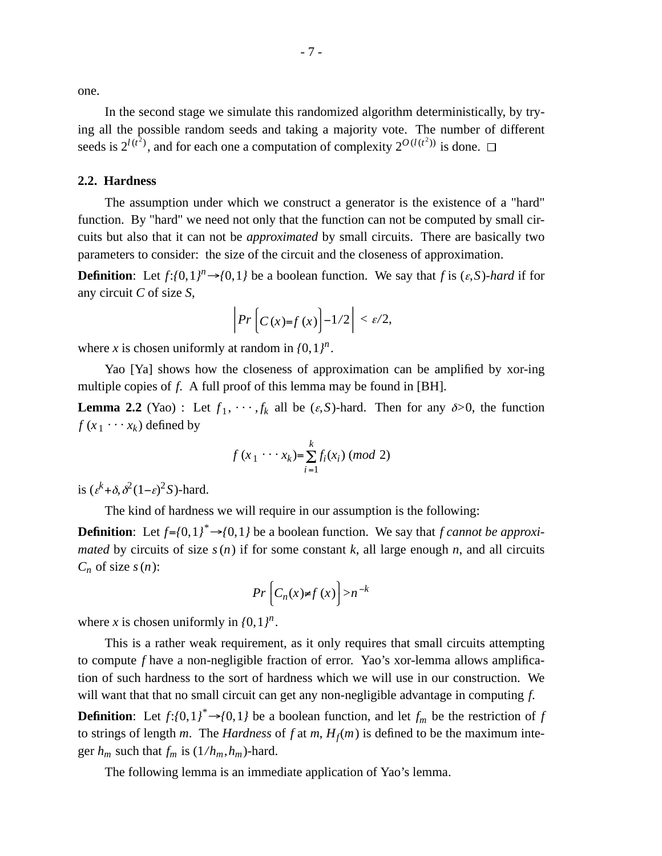one.

In the second stage we simulate this randomized algorithm deterministically, by trying all the possible random seeds and taking a majority vote. The number of different seeds is  $2^{l(t^2)}$ , and for each one a computation of complexity  $2^{O(l(t^2))}$  is done.

#### **2.2. Hardness**

The assumption under which we construct a generator is the existence of a "hard" function. By "hard" we need not only that the function can not be computed by small circuits but also that it can not be *approximated* by small circuits. There are basically two parameters to consider: the size of the circuit and the closeness of approximation.

**Definition**: Let  $f: \{0, 1\}^n \rightarrow \{0, 1\}$  be a boolean function. We say that *f* is  $(\varepsilon, S)$ -*hard* if for any circuit *C* of size *S*,

$$
\left| Pr \left[ C(x)=f(x) \right] -1/2 \right| < \varepsilon/2,
$$

where *x* is chosen uniformly at random in  $\{0, 1\}^n$ .

Yao [Ya] shows how the closeness of approximation can be amplified by xor-ing multiple copies of *f*. A full proof of this lemma may be found in [BH].

**Lemma 2.2** (Yao): Let  $f_1, \dots, f_k$  all be  $(\varepsilon, S)$ -hard. Then for any  $\delta > 0$ , the function  $f(x_1 \cdots x_k)$  defined by

$$
f(x_1 \cdots x_k) = \sum_{i=1}^k f_i(x_i) \ (mod \ 2)
$$

is  $(\varepsilon^k + \delta, \delta^2(1-\varepsilon)^2 S)$ -hard.

The kind of hardness we will require in our assumption is the following:

**Definition**: Let  $f = \{0, 1\}^* \rightarrow \{0, 1\}$  be a boolean function. We say that *f cannot be approximated* by circuits of size  $s(n)$  if for some constant k, all large enough *n*, and all circuits  $C_n$  of size  $s(n)$ :

$$
Pr\left[C_n(x) \neq f(x)\right] > n^{-k}
$$

where *x* is chosen uniformly in  $\{0, 1\}^n$ .

This is a rather weak requirement, as it only requires that small circuits attempting to compute *f* have a non-negligible fraction of error. Yao's xor-lemma allows amplification of such hardness to the sort of hardness which we will use in our construction. We will want that that no small circuit can get any non-negligible advantage in computing *f*.

**Definition**: Let  $f: \{0, 1\}$ <sup>\*</sup> $\rightarrow$   $\{0, 1\}$  be a boolean function, and let  $f_m$  be the restriction of *f* to strings of length *m*. The *Hardness* of *f* at *m*,  $H_f(m)$  is defined to be the maximum integer  $h_m$  such that  $f_m$  is  $(1/h_m, h_m)$ -hard.

The following lemma is an immediate application of Yao's lemma.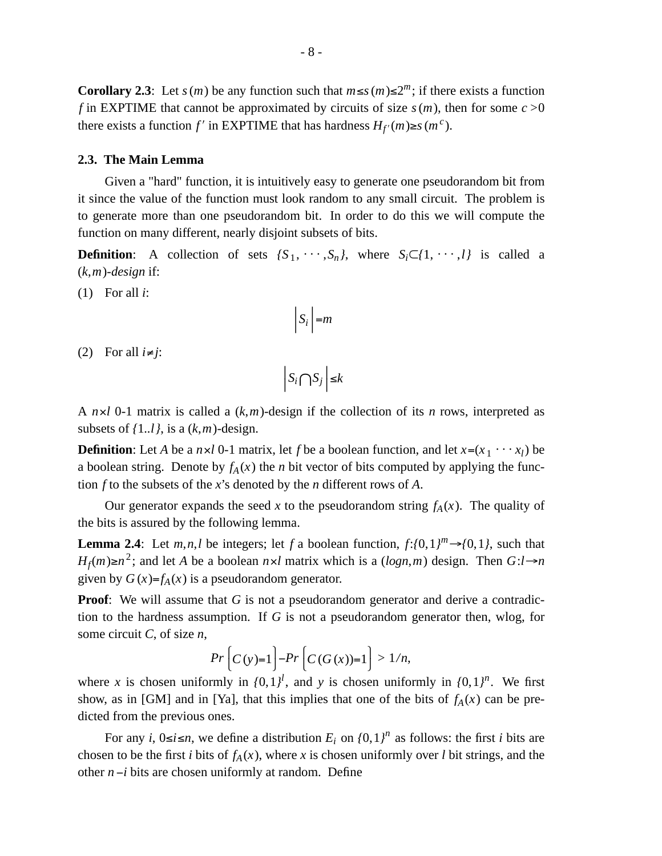**Corollary 2.3**: Let *s*(*m*) be any function such that  $m \le s(m) \le 2^m$ ; if there exists a function *f* in EXPTIME that cannot be approximated by circuits of size  $s(m)$ , then for some  $c > 0$ there exists a function *f'* in EXPTIME that has hardness  $H_{f'}(m) \ge s(m^c)$ .

#### **2.3. The Main Lemma**

Given a "hard" function, it is intuitively easy to generate one pseudorandom bit from it since the value of the function must look random to any small circuit. The problem is to generate more than one pseudorandom bit. In order to do this we will compute the function on many different, nearly disjoint subsets of bits.

**Definition:** A collection of sets  $\{S_1, \dots, S_n\}$ , where  $S_i \subset \{1, \dots, l\}$  is called a (*k*,*m*)-*design* if:

(1) For all *i*:

$$
S_i \Big| = m
$$

(2) For all  $i \neq j$ :

$$
\left|S_i \bigcap S_j\right| \leq k
$$

A *n*×*l* 0-1 matrix is called a (*k*,*m*)-design if the collection of its *n* rows, interpreted as subsets of  $\{1..l\}$ , is a  $(k,m)$ -design.

**Definition**: Let *A* be a  $n \times l$  0-1 matrix, let *f* be a boolean function, and let  $x = (x_1 \cdots x_l)$  be a boolean string. Denote by  $f_A(x)$  the *n* bit vector of bits computed by applying the function *f* to the subsets of the *x*'s denoted by the *n* different rows of *A*.

Our generator expands the seed *x* to the pseudorandom string  $f_A(x)$ . The quality of the bits is assured by the following lemma.

**Lemma 2.4**: Let *m*,*n*,*l* be integers; let *f* a boolean function,  $f: \{0, 1\}^m \rightarrow \{0, 1\}$ , such that *H*<sub>*f*</sub>(*m*)≥*n*<sup>2</sup>; and let *A* be a boolean *n*×*l* matrix which is a (*logn*,*m*) design. Then *G*:*l*→*n* given by  $G(x)=f_A(x)$  is a pseudorandom generator.

**Proof:** We will assume that *G* is not a pseudorandom generator and derive a contradiction to the hardness assumption. If *G* is not a pseudorandom generator then, wlog, for some circuit *C*, of size *n*,

$$
Pr\left[C(y)=1\right]-Pr\left[C(G(x))=1\right]>1/n,
$$

where *x* is chosen uniformly in  $\{0, 1\}^l$ , and *y* is chosen uniformly in  $\{0, 1\}^n$ . We first show, as in [GM] and in [Ya], that this implies that one of the bits of  $f_A(x)$  can be predicted from the previous ones.

For any *i*,  $0 \le i \le n$ , we define a distribution  $E_i$  on  $\{0, 1\}^n$  as follows: the first *i* bits are chosen to be the first *i* bits of  $f_A(x)$ , where *x* is chosen uniformly over *l* bit strings, and the other *n* −*i* bits are chosen uniformly at random. Define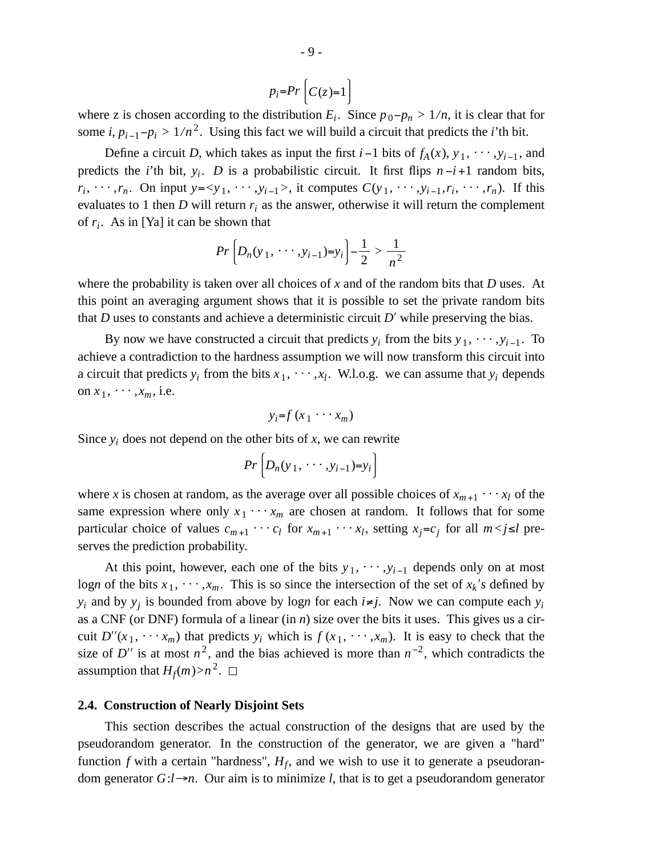$$
p_i = Pr\left(C(z) = 1\right)
$$

where z is chosen according to the distribution  $E_i$ . Since  $p_0 - p_n > 1/n$ , it is clear that for some *i*,  $p_{i-1}-p_i > 1/n^2$ . Using this fact we will build a circuit that predicts the *i*'th bit.

Define a circuit *D*, which takes as input the first *i* −1 bits of  $f_A(x)$ ,  $y_1$ ,  $\dots$ ,  $y_{i-1}$ , and predicts the *i*'th bit,  $y_i$ . *D* is a probabilistic circuit. It first flips  $n-i+1$  random bits,  $r_i, \dots, r_n$ . On input  $y = \langle y_1, \dots, y_{i-1} \rangle$ , it computes  $C(y_1, \dots, y_{i-1}, r_i, \dots, r_n)$ . If this evaluates to 1 then *D* will return  $r_i$  as the answer, otherwise it will return the complement of *r<sup>i</sup>* . As in [Ya] it can be shown that

$$
Pr\left[D_n(y_1, \cdots, y_{i-1})=y_i\right] - \frac{1}{2} > \frac{1}{n^2}
$$

where the probability is taken over all choices of *x* and of the random bits that *D* uses. At this point an averaging argument shows that it is possible to set the private random bits that *D* uses to constants and achieve a deterministic circuit *D*′ while preserving the bias.

By now we have constructed a circuit that predicts  $y_i$  from the bits  $y_1, \dots, y_{i-1}$ . To achieve a contradiction to the hardness assumption we will now transform this circuit into a circuit that predicts  $y_i$  from the bits  $x_1, \dots, x_l$ . W.l.o.g. we can assume that  $y_i$  depends on  $x_1$ ,  $\cdots$ ,  $x_m$ , i.e.

$$
y_i = f(x_1 \cdots x_m)
$$

Since  $y_i$  does not depend on the other bits of  $x$ , we can rewrite

$$
Pr\left[D_n(y_1,\cdots,y_{i-1})=y_i\right]
$$

where *x* is chosen at random, as the average over all possible choices of  $x_{m+1} \cdots x_l$  of the same expression where only  $x_1 \cdots x_m$  are chosen at random. It follows that for some particular choice of values  $c_{m+1} \cdots c_l$  for  $x_{m+1} \cdots x_l$ , setting  $x_j = c_j$  for all  $m < j \le l$  preserves the prediction probability.

At this point, however, each one of the bits  $y_1, \dots, y_{i-1}$  depends only on at most logn of the bits  $x_1, \dots, x_m$ . This is so since the intersection of the set of  $x_k$ 's defined by *y*<sub>*i*</sub> and by *y*<sub>*j*</sub> is bounded from above by logn for each *i*≠*j*. Now we can compute each *y*<sup>*i*</sup> as a CNF (or DNF) formula of a linear (in *n*) size over the bits it uses. This gives us a circuit  $D''(x_1, \dots, x_m)$  that predicts  $y_i$  which is  $f(x_1, \dots, x_m)$ . It is easy to check that the size of *D''* is at most  $n^2$ , and the bias achieved is more than  $n^{-2}$ , which contradicts the assumption that  $H_f(m) > n^2$ .

#### **2.4. Construction of Nearly Disjoint Sets**

This section describes the actual construction of the designs that are used by the pseudorandom generator. In the construction of the generator, we are given a "hard" function  $f$  with a certain "hardness",  $H_f$ , and we wish to use it to generate a pseudorandom generator  $G: l \rightarrow n$ . Our aim is to minimize *l*, that is to get a pseudorandom generator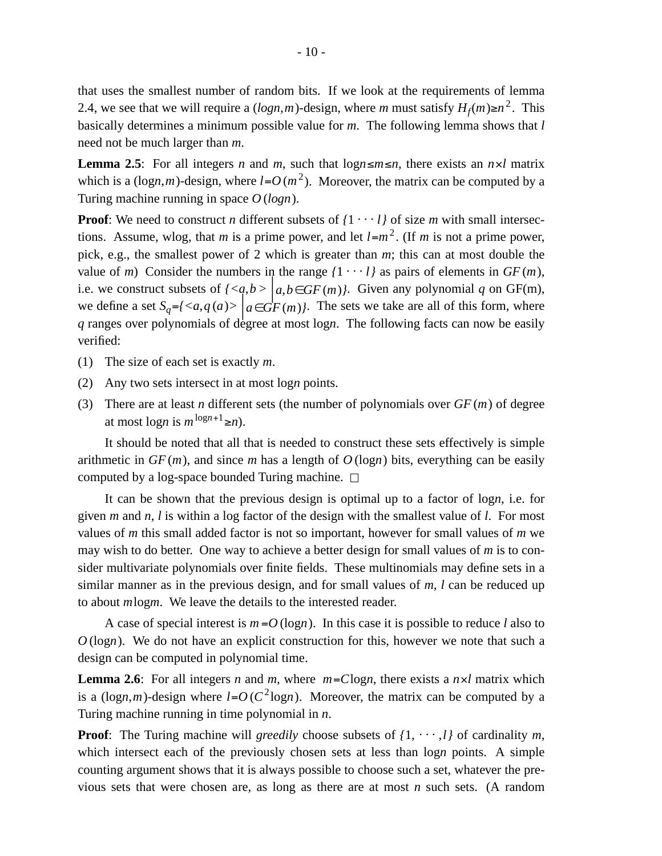that uses the smallest number of random bits. If we look at the requirements of lemma 2.4, we see that we will require a  $(log n, m)$ -design, where *m* must satisfy  $H_f(m) \ge n^2$ . This basically determines a minimum possible value for *m*. The following lemma shows that *l* need not be much larger than *m*.

**Lemma 2.5**: For all integers *n* and *m*, such that  $\log n \leq m \leq n$ , there exists an  $n \times l$  matrix which is a (logn,*m*)-design, where  $l = O(m^2)$ . Moreover, the matrix can be computed by a Turing machine running in space *O* (*logn*).

**Proof**: We need to construct *n* different subsets of  $\{1 \cdot \cdot \cdot l\}$  of size *m* with small intersections. Assume, wlog, that *m* is a prime power, and let  $l=m^2$ . (If *m* is not a prime power, pick, e.g., the smallest power of 2 which is greater than *m*; this can at most double the value of *m*) Consider the numbers in the range  $\{1 \cdot \cdot \cdot l\}$  as pairs of elements in  $GF(m)$ , i.e. we construct subsets of  $\{\left| a,b\in GF(m)\right\}$ . Given any polynomial *q* on GF(m), we define a set  $S_q = \{ \langle a, q(a) \rangle \mid a \in GF(m) \}$ . The sets we take are all of this form, where *q* ranges over polynomials of degree at most log*n*. The following facts can now be easily verified:

- (1) The size of each set is exactly *m*.
- (2) Any two sets intersect in at most log*n* points.
- (3) There are at least *n* different sets (the number of polynomials over *GF* (*m*) of degree at most  $\log n$  is  $m^{\log n+1} \geq n$ ).

It should be noted that all that is needed to construct these sets effectively is simple arithmetic in  $GF(m)$ , and since *m* has a length of  $O(log n)$  bits, everything can be easily computed by a log-space bounded Turing machine.  $\Box$ 

It can be shown that the previous design is optimal up to a factor of log*n*, i.e. for given *m* and *n*, *l* is within a log factor of the design with the smallest value of *l*. For most values of *m* this small added factor is not so important, however for small values of *m* we may wish to do better. One way to achieve a better design for small values of *m* is to consider multivariate polynomials over finite fields. These multinomials may define sets in a similar manner as in the previous design, and for small values of *m*, *l* can be reduced up to about *m*log*m*. We leave the details to the interested reader.

A case of special interest is  $m = O(\log n)$ . In this case it is possible to reduce *l* also to *O* (log*n*). We do not have an explicit construction for this, however we note that such a design can be computed in polynomial time.

**Lemma 2.6**: For all integers *n* and *m*, where  $m = C \log n$ , there exists a  $n \times l$  matrix which is a (logn,*m*)-design where  $l = O(C^2 \log n)$ . Moreover, the matrix can be computed by a Turing machine running in time polynomial in *n*.

**Proof**: The Turing machine will *greedily* choose subsets of  $\{1, \dots, l\}$  of cardinality *m*, which intersect each of the previously chosen sets at less than log*n* points. A simple counting argument shows that it is always possible to choose such a set, whatever the previous sets that were chosen are, as long as there are at most *n* such sets. (A random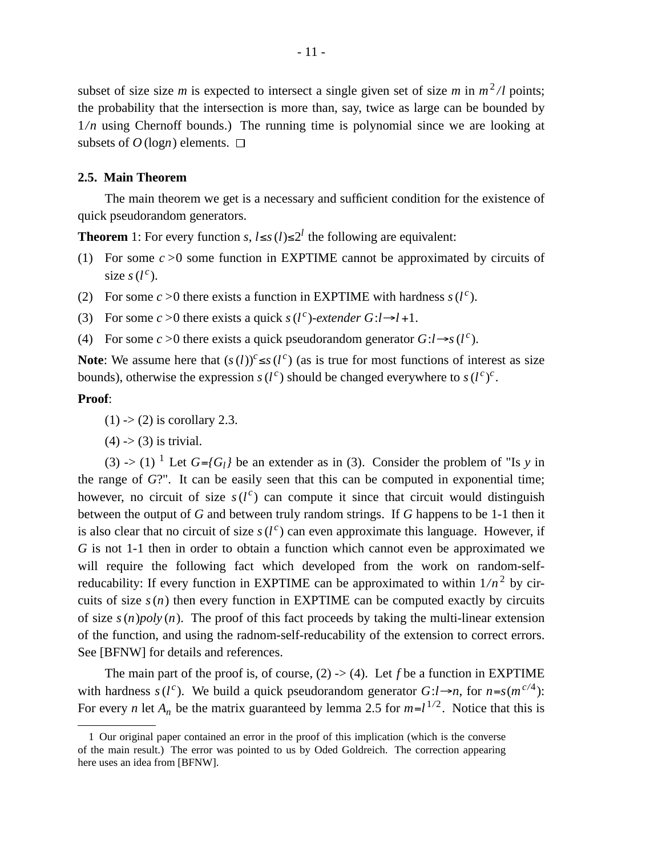subset of size size *m* is expected to intersect a single given set of size *m* in  $m^2/l$  points; the probability that the intersection is more than, say, twice as large can be bounded by 1*/n* using Chernoff bounds.) The running time is polynomial since we are looking at subsets of  $O(\log n)$  elements.  $\square$ 

## **2.5. Main Theorem**

The main theorem we get is a necessary and sufficient condition for the existence of quick pseudorandom generators.

**Theorem** 1: For every function *s*,  $l \leq s$  (*l*)≤2<sup>*l*</sup> the following are equivalent:

- (1) For some *c >*0 some function in EXPTIME cannot be approximated by circuits of size  $s(l^c)$ .
- (2) For some  $c > 0$  there exists a function in EXPTIME with hardness  $s(l^c)$ .
- (3) For some  $c > 0$  there exists a quick  $s(l^c)$ -extender  $G: l \rightarrow l+1$ .
- (4) For some  $c > 0$  there exists a quick pseudorandom generator  $G: l \rightarrow s(l^c)$ .

**Note**: We assume here that  $(s(l))^c \leq s(l^c)$  (as is true for most functions of interest as size bounds), otherwise the expression  $s(l^c)$  should be changed everywhere to  $s(l^c)^c$ .

## **Proof**:

 $(1)$  ->  $(2)$  is corollary 2.3.

 $(4)$  ->  $(3)$  is trivial.

(3) -> (1) <sup>1</sup> Let  $G = {G_1}$  be an extender as in (3). Consider the problem of "Is *y* in the range of *G*?". It can be easily seen that this can be computed in exponential time; however, no circuit of size  $s(l^c)$  can compute it since that circuit would distinguish between the output of *G* and between truly random strings. If *G* happens to be 1-1 then it is also clear that no circuit of size  $s(l^c)$  can even approximate this language. However, if *G* is not 1-1 then in order to obtain a function which cannot even be approximated we will require the following fact which developed from the work on random-selfreducability: If every function in EXPTIME can be approximated to within  $1/n^2$  by circuits of size  $s(n)$  then every function in EXPTIME can be computed exactly by circuits of size  $s(n)poly(n)$ . The proof of this fact proceeds by taking the multi-linear extension of the function, and using the radnom-self-reducability of the extension to correct errors. See [BFNW] for details and references.

The main part of the proof is, of course, (2) -> (4). Let *f* be a function in EXPTIME with hardness  $s(l^c)$ . We build a quick pseudorandom generator  $G: l \rightarrow n$ , for  $n = s(m^{c/4})$ : For every *n* let  $A_n$  be the matrix guaranteed by lemma 2.5 for  $m=l^{1/2}$ . Notice that this is

<sup>1</sup> Our original paper contained an error in the proof of this implication (which is the converse of the main result.) The error was pointed to us by Oded Goldreich. The correction appearing here uses an idea from [BFNW].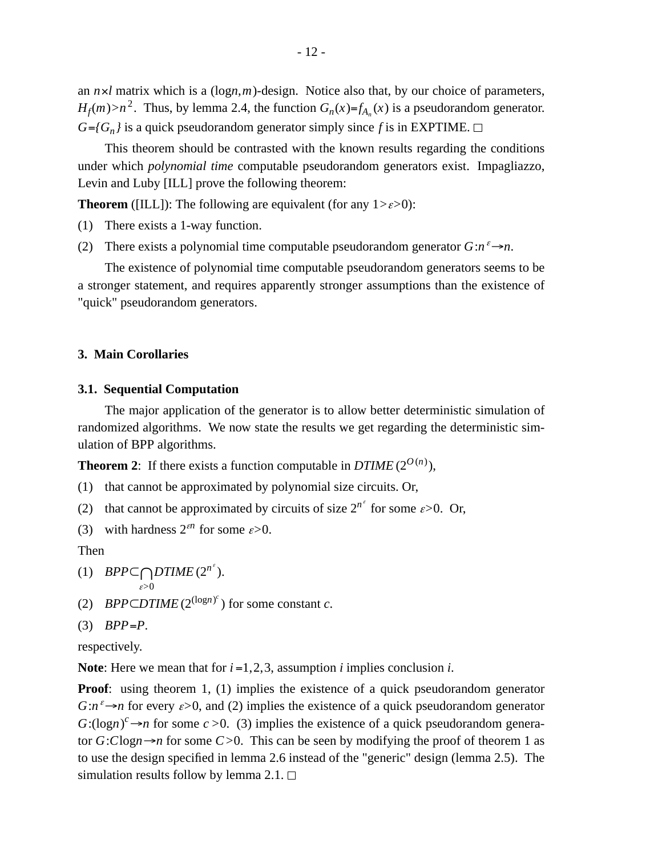an *n*×*l* matrix which is a (log*n*,*m*)-design. Notice also that, by our choice of parameters, *H*<sub>*f*</sub>(*m*) > *n*<sup>2</sup>. Thus, by lemma 2.4, the function  $G_n(x)=f_{A_n}(x)$  is a pseudorandom generator.  $G = \{G_n\}$  is a quick pseudorandom generator simply since f is in EXPTIME.

This theorem should be contrasted with the known results regarding the conditions under which *polynomial time* computable pseudorandom generators exist. Impagliazzo, Levin and Luby [ILL] prove the following theorem:

**Theorem** ([ILL]): The following are equivalent (for any  $1 > \varepsilon > 0$ ):

(1) There exists a 1-way function.

(2) There exists a polynomial time computable pseudorandom generator  $G: n^{\varepsilon} \rightarrow n$ .

The existence of polynomial time computable pseudorandom generators seems to be a stronger statement, and requires apparently stronger assumptions than the existence of "quick" pseudorandom generators.

# **3. Main Corollaries**

## **3.1. Sequential Computation**

The major application of the generator is to allow better deterministic simulation of randomized algorithms. We now state the results we get regarding the deterministic simulation of BPP algorithms.

**Theorem 2**: If there exists a function computable in  $DTIME(2^{O(n)})$ ,

- (1) that cannot be approximated by polynomial size circuits. Or,
- (2) that cannot be approximated by circuits of size  $2^{n^{\epsilon}}$  for some  $\epsilon > 0$ . Or,

(3) with hardness  $2^{\epsilon n}$  for some  $\epsilon > 0$ .

Then

(1) *BPP* $\subset \bigcap_{n}DTIME(2^{n^e}).$ 

$$
_{\mathcal{E}>0}
$$

(2) *BPP*⊂*DTIME* ( $2^{(\log n)^c}$ ) for some constant *c*.

$$
(3) BPP = P.
$$

respectively.

**Note**: Here we mean that for *i* =1, 2, 3, assumption *i* implies conclusion *i*.

**Proof**: using theorem 1, (1) implies the existence of a quick pseudorandom generator  $G: n^{\varepsilon} \rightarrow n$  for every  $\varepsilon > 0$ , and (2) implies the existence of a quick pseudorandom generator  $G:(\log n)^c \rightarrow n$  for some  $c > 0$ . (3) implies the existence of a quick pseudorandom generator  $G:Clogn \rightarrow n$  for some  $C>0$ . This can be seen by modifying the proof of theorem 1 as to use the design specified in lemma 2.6 instead of the "generic" design (lemma 2.5). The simulation results follow by lemma 2.1.  $\Box$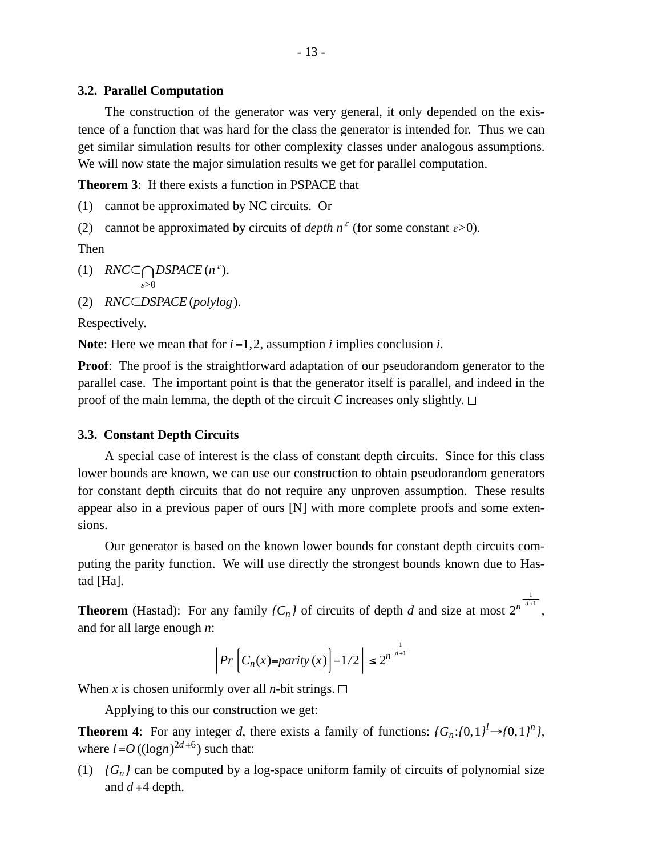## **3.2. Parallel Computation**

The construction of the generator was very general, it only depended on the existence of a function that was hard for the class the generator is intended for. Thus we can get similar simulation results for other complexity classes under analogous assumptions. We will now state the major simulation results we get for parallel computation.

**Theorem 3**: If there exists a function in PSPACE that

(1) cannot be approximated by NC circuits. Or

(2) cannot be approximated by circuits of *depth*  $n^{\epsilon}$  (for some constant  $\epsilon > 0$ ).

Then

(1) *RNC*⊂ <sup>ε</sup>*>*0 ∩*DSPACE* (*<sup>n</sup>* ε ).

(2) *RNC*⊂*DSPACE* (*polylog*).

Respectively.

**Note**: Here we mean that for *i* =1, 2, assumption *i* implies conclusion *i*.

**Proof**: The proof is the straightforward adaptation of our pseudorandom generator to the parallel case. The important point is that the generator itself is parallel, and indeed in the proof of the main lemma, the depth of the circuit *C* increases only slightly.  $\Box$ 

## **3.3. Constant Depth Circuits**

A special case of interest is the class of constant depth circuits. Since for this class lower bounds are known, we can use our construction to obtain pseudorandom generators for constant depth circuits that do not require any unproven assumption. These results appear also in a previous paper of ours [N] with more complete proofs and some extensions.

Our generator is based on the known lower bounds for constant depth circuits computing the parity function. We will use directly the strongest bounds known due to Hastad [Ha].

**Theorem** (Hastad): For any family  ${C_n}$  of circuits of depth *d* and size at most  $2^{n^{\frac{1}{d+1}}}$ , and for all large enough *n*:

$$
\left| Pr \left[ C_n(x) = parity(x) \right] - 1/2 \right| \le 2^{n^{\frac{1}{d+1}}}
$$

When *x* is chosen uniformly over all *n*-bit strings.  $\Box$ 

Applying to this our construction we get:

**Theorem 4**: For any integer *d*, there exists a family of functions:  $\{G_n: \{0, 1\}^l \rightarrow \{0, 1\}^n\}$ , where  $l = O((\log n)^{2d+6})$  such that:

(1)  ${G_n}$  can be computed by a log-space uniform family of circuits of polynomial size and  $d+4$  depth.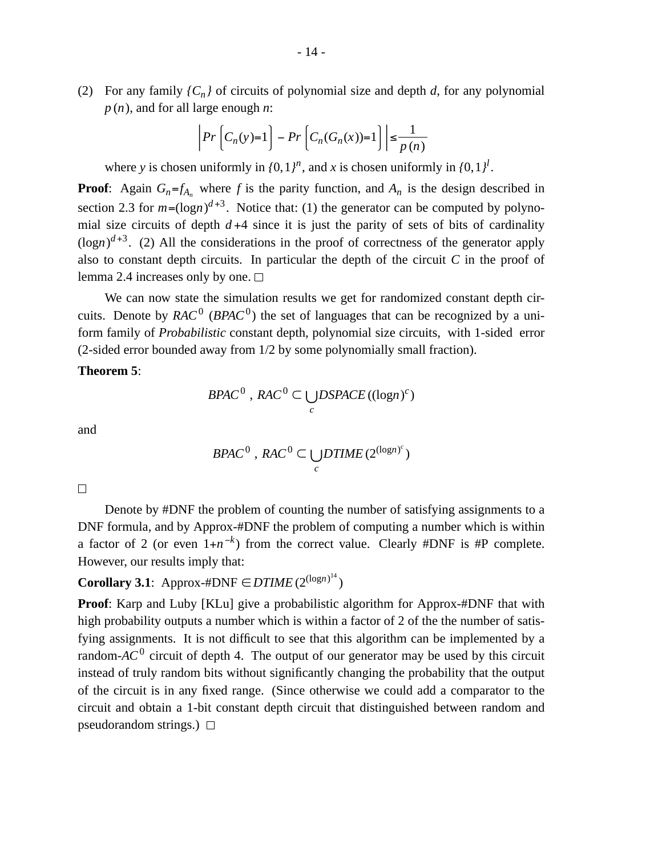(2) For any family  ${C_n}$  of circuits of polynomial size and depth *d*, for any polynomial *p* (*n*), and for all large enough *n*:

$$
\left| Pr \left[ C_n(y)=1 \right] - Pr \left[ C_n(G_n(x))=1 \right] \right| \le \frac{1}{p(n)}
$$

where *y* is chosen uniformly in  $\{0, 1\}^n$ , and *x* is chosen uniformly in  $\{0, 1\}^l$ .

**Proof**: Again  $G_n = f_{A_n}$  where f is the parity function, and  $A_n$  is the design described in section 2.3 for  $m = (\log n)^{d+3}$ . Notice that: (1) the generator can be computed by polynomial size circuits of depth  $d+4$  since it is just the parity of sets of bits of cardinality  $(logn)^{d+3}$ . (2) All the considerations in the proof of correctness of the generator apply also to constant depth circuits. In particular the depth of the circuit *C* in the proof of lemma 2.4 increases only by one.  $\square$ 

We can now state the simulation results we get for randomized constant depth circuits. Denote by  $RAC^0$  ( $BPAC^0$ ) the set of languages that can be recognized by a uniform family of *Probabilistic* constant depth, polynomial size circuits, with 1-sided error (2-sided error bounded away from 1/2 by some polynomially small fraction).

## **Theorem 5**:

$$
B>PAC^0, RAC^0 \subset \bigcup_c DSPACE((\log n)^c)
$$

and

$$
B PAC^0, RAC^0 \subset \bigcup_c DTIME(2^{(\log n)^c})
$$

 $\Box$ 

Denote by #DNF the problem of counting the number of satisfying assignments to a DNF formula, and by Approx-#DNF the problem of computing a number which is within a factor of 2 (or even  $1+n^{-k}$ ) from the correct value. Clearly #DNF is #P complete. However, our results imply that:

# **Corollary 3.1**: Approx-#DNF  $\in$  *DTIME* (2<sup>(logn)<sup>14</sup>)</sup>

**Proof:** Karp and Luby [KLu] give a probabilistic algorithm for Approx-#DNF that with high probability outputs a number which is within a factor of 2 of the the number of satisfying assignments. It is not difficult to see that this algorithm can be implemented by a random-*AC*<sup>0</sup> circuit of depth 4. The output of our generator may be used by this circuit instead of truly random bits without significantly changing the probability that the output of the circuit is in any fixed range. (Since otherwise we could add a comparator to the circuit and obtain a 1-bit constant depth circuit that distinguished between random and pseudorandom strings.)  $\Box$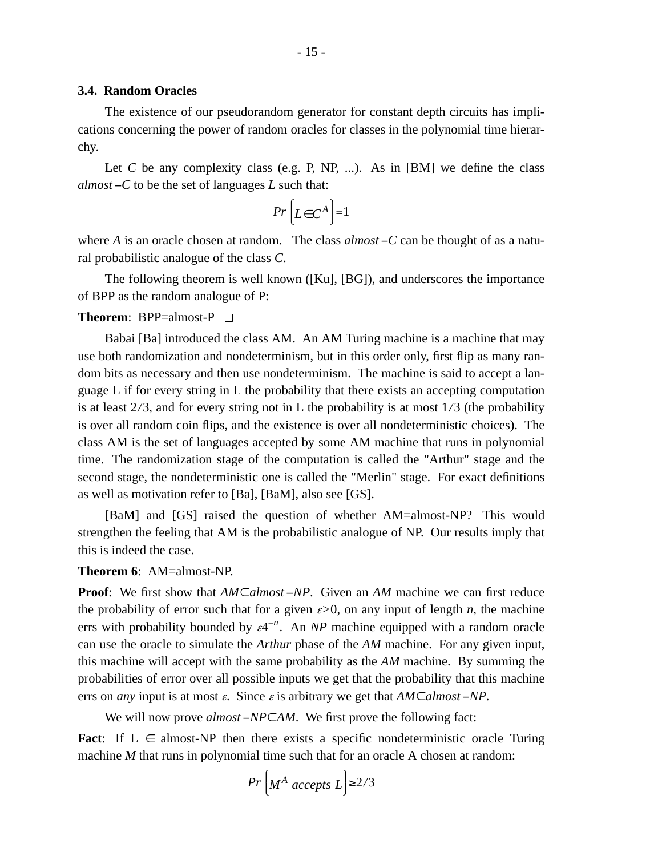## **3.4. Random Oracles**

The existence of our pseudorandom generator for constant depth circuits has implications concerning the power of random oracles for classes in the polynomial time hierarchy.

Let  $C$  be any complexity class (e.g. P, NP, ...). As in [BM] we define the class *almost* −*C* to be the set of languages *L* such that:

$$
Pr\left[L \in C^A\right] = 1
$$

where *A* is an oracle chosen at random. The class *almost* −*C* can be thought of as a natural probabilistic analogue of the class *C*.

The following theorem is well known ([Ku], [BG]), and underscores the importance of BPP as the random analogue of P:

## **Theorem**: BPP=almost-P

Babai [Ba] introduced the class AM. An AM Turing machine is a machine that may use both randomization and nondeterminism, but in this order only, first flip as many random bits as necessary and then use nondeterminism. The machine is said to accept a language L if for every string in L the probability that there exists an accepting computation is at least 2*/*3, and for every string not in L the probability is at most 1*/*3 (the probability is over all random coin flips, and the existence is over all nondeterministic choices). The class AM is the set of languages accepted by some AM machine that runs in polynomial time. The randomization stage of the computation is called the "Arthur" stage and the second stage, the nondeterministic one is called the "Merlin" stage. For exact definitions as well as motivation refer to [Ba], [BaM], also see [GS].

[BaM] and [GS] raised the question of whether AM=almost-NP? This would strengthen the feeling that AM is the probabilistic analogue of NP. Our results imply that this is indeed the case.

## **Theorem 6**: AM=almost-NP.

**Proof**: We first show that *AM*⊂*almost* −*NP*. Given an *AM* machine we can first reduce the probability of error such that for a given  $\varepsilon > 0$ , on any input of length *n*, the machine errs with probability bounded by  $\varepsilon 4^{-n}$ . An *NP* machine equipped with a random oracle can use the oracle to simulate the *Arthur* phase of the *AM* machine. For any given input, this machine will accept with the same probability as the *AM* machine. By summing the probabilities of error over all possible inputs we get that the probability that this machine errs on *any* input is at most <sup>ε</sup>. Since <sup>ε</sup> is arbitrary we get that *AM*⊂*almost* −*NP*.

We will now prove *almost* −*NP*⊂*AM*. We first prove the following fact:

**Fact:** If  $L \in \text{almost-NP}$  then there exists a specific nondeterministic oracle Turing machine *M* that runs in polynomial time such that for an oracle A chosen at random:

$$
Pr\left[M^A \text{ accepts } L\right] \ge 2/3
$$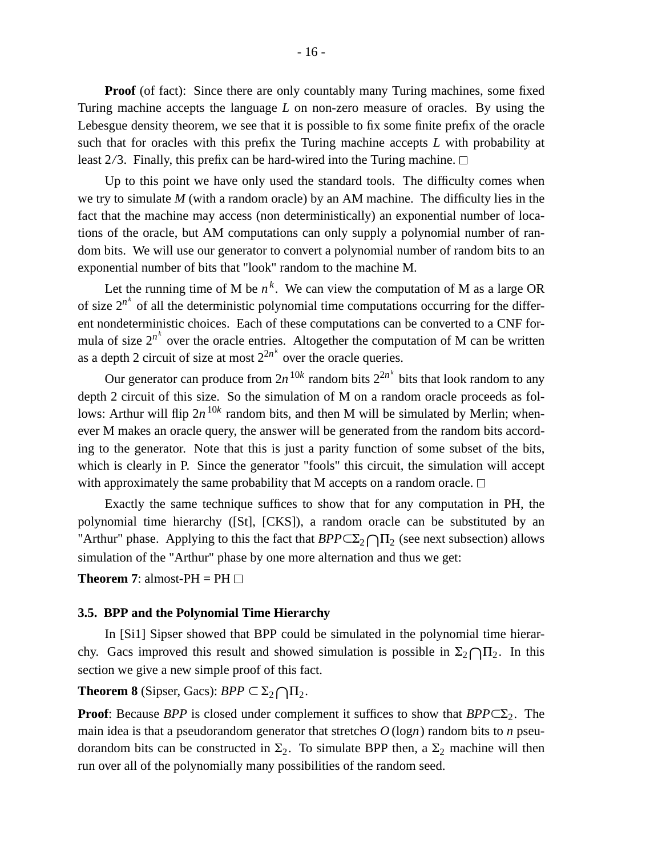**Proof** (of fact): Since there are only countably many Turing machines, some fixed Turing machine accepts the language *L* on non-zero measure of oracles. By using the Lebesgue density theorem, we see that it is possible to fix some finite prefix of the oracle such that for oracles with this prefix the Turing machine accepts *L* with probability at least 2*/*3. Finally, this prefix can be hard-wired into the Turing machine.

Up to this point we have only used the standard tools. The difficulty comes when we try to simulate *M* (with a random oracle) by an AM machine. The difficulty lies in the fact that the machine may access (non deterministically) an exponential number of locations of the oracle, but AM computations can only supply a polynomial number of random bits. We will use our generator to convert a polynomial number of random bits to an exponential number of bits that "look" random to the machine M.

Let the running time of M be  $n^k$ . We can view the computation of M as a large OR of size  $2^{n^k}$  of all the deterministic polynomial time computations occurring for the different nondeterministic choices. Each of these computations can be converted to a CNF formula of size  $2^{n^k}$  over the oracle entries. Altogether the computation of M can be written as a depth 2 circuit of size at most  $2^{2n^k}$  over the oracle queries.

Our generator can produce from  $2n^{10k}$  random bits  $2^{2n^k}$  bits that look random to any depth 2 circuit of this size. So the simulation of M on a random oracle proceeds as follows: Arthur will flip  $2n^{10k}$  random bits, and then M will be simulated by Merlin; whenever M makes an oracle query, the answer will be generated from the random bits according to the generator. Note that this is just a parity function of some subset of the bits, which is clearly in P. Since the generator "fools" this circuit, the simulation will accept with approximately the same probability that M accepts on a random oracle.  $\Box$ 

Exactly the same technique suffices to show that for any computation in PH, the polynomial time hierarchy ([St], [CKS]), a random oracle can be substituted by an "Arthur" phase. Applying to this the fact that  $BPP \subseteq \Sigma_2 \cap \Pi_2$  (see next subsection) allows simulation of the "Arthur" phase by one more alternation and thus we get:

**Theorem 7:** almost-PH = PH  $\Box$ 

## **3.5. BPP and the Polynomial Time Hierarchy**

In [Si1] Sipser showed that BPP could be simulated in the polynomial time hierarchy. Gacs improved this result and showed simulation is possible in  $\Sigma_2 \cap \Pi_2$ . In this section we give a new simple proof of this fact.

# **Theorem 8** (Sipser, Gacs):  $BPP \subseteq \Sigma_2 \bigcap \Pi_2$ .

**Proof**: Because *BPP* is closed under complement it suffices to show that  $BPP \subset \Sigma_2$ . The main idea is that a pseudorandom generator that stretches *O* (log*n*) random bits to *n* pseudorandom bits can be constructed in  $\Sigma_2$ . To simulate BPP then, a  $\Sigma_2$  machine will then run over all of the polynomially many possibilities of the random seed.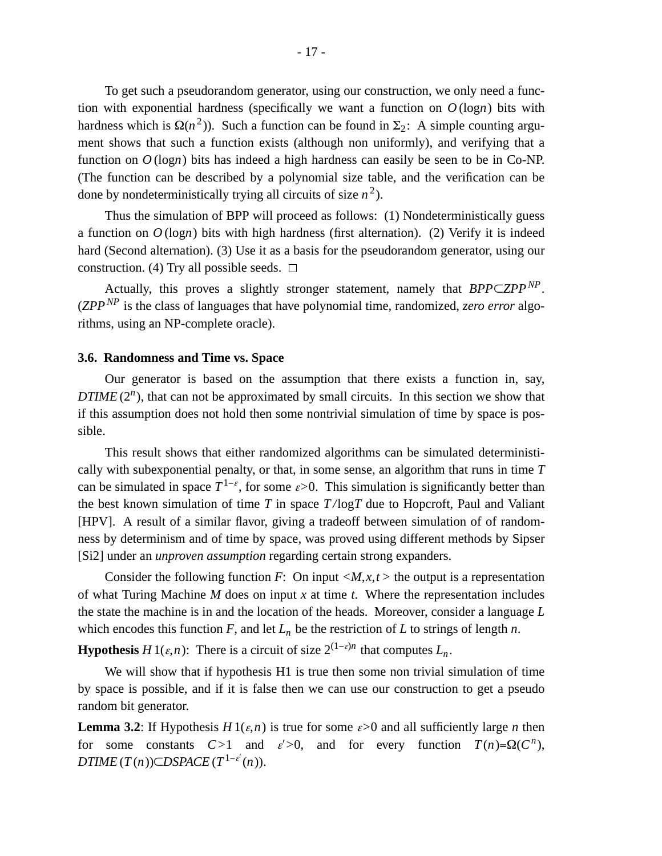To get such a pseudorandom generator, using our construction, we only need a function with exponential hardness (specifically we want a function on  $O(logn)$  bits with hardness which is  $\Omega(n^2)$ ). Such a function can be found in  $\Sigma_2$ : A simple counting argument shows that such a function exists (although non uniformly), and verifying that a function on *O* (log*n*) bits has indeed a high hardness can easily be seen to be in Co-NP. (The function can be described by a polynomial size table, and the verification can be done by nondeterministically trying all circuits of size  $n^2$ ).

Thus the simulation of BPP will proceed as follows: (1) Nondeterministically guess a function on  $O(\log n)$  bits with high hardness (first alternation). (2) Verify it is indeed hard (Second alternation). (3) Use it as a basis for the pseudorandom generator, using our construction. (4) Try all possible seeds.  $\Box$ 

Actually, this proves a slightly stronger statement, namely that *BPP*⊂*ZPP NP* . (*ZPPNP* is the class of languages that have polynomial time, randomized, *zero error* algorithms, using an NP-complete oracle).

## **3.6. Randomness and Time vs. Space**

Our generator is based on the assumption that there exists a function in, say, *DTIME* (2<sup>*n*</sup>), that can not be approximated by small circuits. In this section we show that if this assumption does not hold then some nontrivial simulation of time by space is possible.

This result shows that either randomized algorithms can be simulated deterministically with subexponential penalty, or that, in some sense, an algorithm that runs in time *T* can be simulated in space  $T^{1-\varepsilon}$ , for some  $\varepsilon > 0$ . This simulation is significantly better than the best known simulation of time  $T$  in space  $T/\log T$  due to Hopcroft, Paul and Valiant [HPV]. A result of a similar flavor, giving a tradeoff between simulation of of randomness by determinism and of time by space, was proved using different methods by Sipser [Si2] under an *unproven assumption* regarding certain strong expanders.

Consider the following function *F*: On input  $\langle M, x, t \rangle$  the output is a representation of what Turing Machine *M* does on input *x* at time *t*. Where the representation includes the state the machine is in and the location of the heads. Moreover, consider a language *L* which encodes this function  $F$ , and let  $L_n$  be the restriction of  $L$  to strings of length  $n$ .

**Hypothesis** *H* 1( $\varepsilon$ ,*n*): There is a circuit of size  $2^{(1-\varepsilon)n}$  that computes  $L_n$ .

We will show that if hypothesis H1 is true then some non trivial simulation of time by space is possible, and if it is false then we can use our construction to get a pseudo random bit generator.

**Lemma 3.2**: If Hypothesis  $H_1(\varepsilon,n)$  is true for some  $\varepsilon>0$  and all sufficiently large *n* then for some constants  $C>1$  and  $\varepsilon' > 0$ , and for every function  $T(n) = \Omega(C^n)$ ,  $DTIME(T(n))CDSPACE(T^{1-\varepsilon'}(n)).$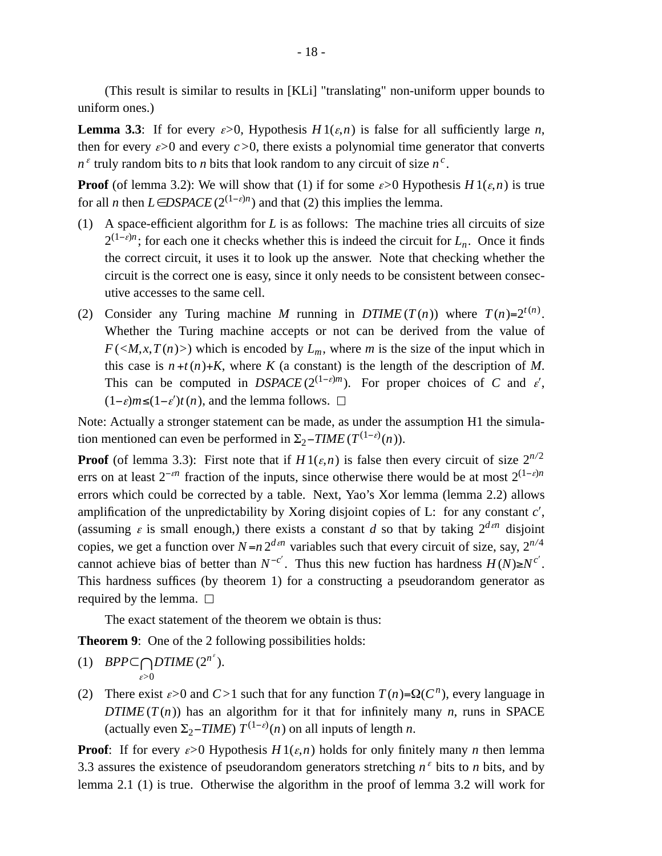(This result is similar to results in [KLi] "translating" non-uniform upper bounds to uniform ones.)

**Lemma 3.3**: If for every  $\varepsilon > 0$ , Hypothesis  $H_1(\varepsilon,n)$  is false for all sufficiently large *n*, then for every  $\varepsilon > 0$  and every  $\varepsilon > 0$ , there exists a polynomial time generator that converts  $n^{\epsilon}$  truly random bits to *n* bits that look random to any circuit of size  $n^{\epsilon}$ .

**Proof** (of lemma 3.2): We will show that (1) if for some  $\varepsilon > 0$  Hypothesis *H* 1( $\varepsilon$ ,*n*) is true for all *n* then  $L \in DSPACE$  ( $2^{(1-\varepsilon)n}$ ) and that (2) this implies the lemma.

- (1) A space-efficient algorithm for *L* is as follows: The machine tries all circuits of size  $2^{(1-\varepsilon)n}$ ; for each one it checks whether this is indeed the circuit for  $L_n$ . Once it finds the correct circuit, it uses it to look up the answer. Note that checking whether the circuit is the correct one is easy, since it only needs to be consistent between consecutive accesses to the same cell.
- (2) Consider any Turing machine *M* running in  $DTIME(T(n))$  where  $T(n)=2^{t(n)}$ . Whether the Turing machine accepts or not can be derived from the value of  $F(\langle M, x, T(n)\rangle)$  which is encoded by  $L_m$ , where *m* is the size of the input which in this case is  $n + t(n) + K$ , where *K* (a constant) is the length of the description of *M*. This can be computed in *DSPACE* ( $2^{(1-\varepsilon)m}$ ). For proper choices of *C* and  $\varepsilon'$ ,  $(1-\varepsilon)m$ ≤ $(1-\varepsilon')t(n)$ , and the lemma follows.  $□$

Note: Actually a stronger statement can be made, as under the assumption H1 the simulation mentioned can even be performed in  $\Sigma_2$ -*TIME* ( $T^{(1-\varepsilon)}(n)$ ).

**Proof** (of lemma 3.3): First note that if  $H1(\varepsilon,n)$  is false then every circuit of size  $2^{n/2}$ errs on at least  $2^{-\epsilon n}$  fraction of the inputs, since otherwise there would be at most  $2^{(1-\epsilon)n}$ errors which could be corrected by a table. Next, Yao's Xor lemma (lemma 2.2) allows amplification of the unpredictability by Xoring disjoint copies of L: for any constant *c*′, (assuming  $\varepsilon$  is small enough,) there exists a constant *d* so that by taking  $2^{d\epsilon n}$  disjoint copies, we get a function over  $N=n 2^{d \epsilon n}$  variables such that every circuit of size, say,  $2^{n/4}$ cannot achieve bias of better than  $N^{-c'}$ . Thus this new fuction has hardness  $H(N) \ge N^{c'}$ . This hardness suffices (by theorem 1) for a constructing a pseudorandom generator as required by the lemma.  $\square$ 

The exact statement of the theorem we obtain is thus:

**Theorem 9:** One of the 2 following possibilities holds:

- (1) *BPP* $\subset \bigcap_{n=0}$ *DTIME* (2<sup>*n*<sup>*s*</sup></sup>). <sup>ε</sup>*>*0
- (2) There exist  $\varepsilon > 0$  and  $C > 1$  such that for any function  $T(n) = \Omega(C^n)$ , every language in *DTIME* ( $T(n)$ ) has an algorithm for it that for infinitely many *n*, runs in SPACE (actually even  $\Sigma_2$ -*TIME*)  $T^{(1-\varepsilon)}(n)$  on all inputs of length *n*.

**Proof**: If for every  $\varepsilon > 0$  Hypothesis  $H_1(\varepsilon,n)$  holds for only finitely many *n* then lemma 3.3 assures the existence of pseudorandom generators stretching  $n^{\epsilon}$  bits to *n* bits, and by lemma 2.1 (1) is true. Otherwise the algorithm in the proof of lemma 3.2 will work for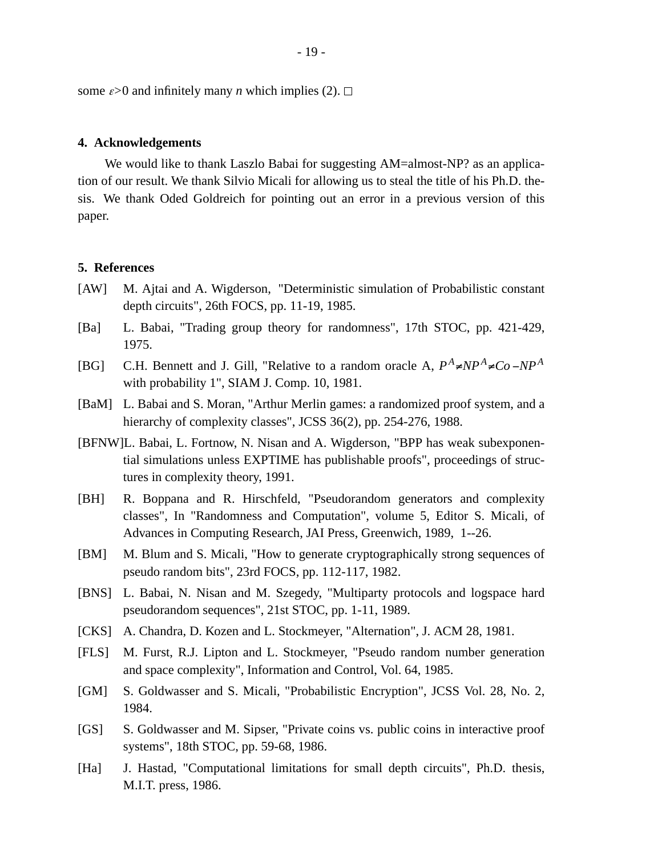some  $\varepsilon > 0$  and infinitely many *n* which implies (2).  $\Box$ 

## **4. Acknowledgements**

We would like to thank Laszlo Babai for suggesting AM=almost-NP? as an application of our result. We thank Silvio Micali for allowing us to steal the title of his Ph.D. thesis. We thank Oded Goldreich for pointing out an error in a previous version of this paper.

## **5. References**

- [AW] M. Ajtai and A. Wigderson, "Deterministic simulation of Probabilistic constant depth circuits", 26th FOCS, pp. 11-19, 1985.
- [Ba] L. Babai, "Trading group theory for randomness", 17th STOC, pp. 421-429, 1975.
- [BG] C.H. Bennett and J. Gill, "Relative to a random oracle A,  $P^A \neq NP^A \neq Co NP^A$ with probability 1", SIAM J. Comp. 10, 1981.
- [BaM] L. Babai and S. Moran, "Arthur Merlin games: a randomized proof system, and a hierarchy of complexity classes", JCSS 36(2), pp. 254-276, 1988.
- [BFNW]L. Babai, L. Fortnow, N. Nisan and A. Wigderson, "BPP has weak subexponential simulations unless EXPTIME has publishable proofs", proceedings of structures in complexity theory, 1991.
- [BH] R. Boppana and R. Hirschfeld, "Pseudorandom generators and complexity classes", In "Randomness and Computation", volume 5, Editor S. Micali, of Advances in Computing Research, JAI Press, Greenwich, 1989, 1--26.
- [BM] M. Blum and S. Micali, "How to generate cryptographically strong sequences of pseudo random bits", 23rd FOCS, pp. 112-117, 1982.
- [BNS] L. Babai, N. Nisan and M. Szegedy, "Multiparty protocols and logspace hard pseudorandom sequences", 21st STOC, pp. 1-11, 1989.
- [CKS] A. Chandra, D. Kozen and L. Stockmeyer, "Alternation", J. ACM 28, 1981.
- [FLS] M. Furst, R.J. Lipton and L. Stockmeyer, "Pseudo random number generation and space complexity", Information and Control, Vol. 64, 1985.
- [GM] S. Goldwasser and S. Micali, "Probabilistic Encryption", JCSS Vol. 28, No. 2, 1984.
- [GS] S. Goldwasser and M. Sipser, "Private coins vs. public coins in interactive proof systems", 18th STOC, pp. 59-68, 1986.
- [Ha] J. Hastad, "Computational limitations for small depth circuits", Ph.D. thesis, M.I.T. press, 1986.